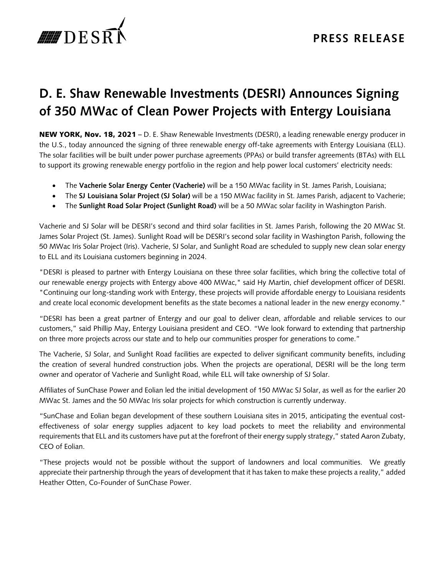

## **D. E. Shaw Renewable Investments (DESRI) Announces Signing of 350 MWac of Clean Power Projects with Entergy Louisiana**

NEW YORK, Nov. 18, 2021 – D. E. Shaw Renewable Investments (DESRI), a leading renewable energy producer in the U.S., today announced the signing of three renewable energy off-take agreements with Entergy Louisiana (ELL). The solar facilities will be built under power purchase agreements (PPAs) or build transfer agreements (BTAs) with ELL to support its growing renewable energy portfolio in the region and help power local customers' electricity needs:

- The **Vacherie Solar Energy Center (Vacherie)** will be a 150 MWac facility in St. James Parish, Louisiana;
- The **SJ Louisiana Solar Project (SJ Solar)** will be a 150 MWac facility in St. James Parish, adjacent to Vacherie;
- The **Sunlight Road Solar Project (Sunlight Road)** will be a 50 MWac solar facility in Washington Parish.

Vacherie and SJ Solar will be DESRI's second and third solar facilities in St. James Parish, following the 20 MWac St. James Solar Project (St. James). Sunlight Road will be DESRI's second solar facility in Washington Parish, following the 50 MWac Iris Solar Project (Iris). Vacherie, SJ Solar, and Sunlight Road are scheduled to supply new clean solar energy to ELL and its Louisiana customers beginning in 2024.

"DESRI is pleased to partner with Entergy Louisiana on these three solar facilities, which bring the collective total of our renewable energy projects with Entergy above 400 MWac," said Hy Martin, chief development officer of DESRI. "Continuing our long-standing work with Entergy, these projects will provide affordable energy to Louisiana residents and create local economic development benefits as the state becomes a national leader in the new energy economy."

"DESRI has been a great partner of Entergy and our goal to deliver clean, affordable and reliable services to our customers," said Phillip May, Entergy Louisiana president and CEO. "We look forward to extending that partnership on three more projects across our state and to help our communities prosper for generations to come."

The Vacherie, SJ Solar, and Sunlight Road facilities are expected to deliver significant community benefits, including the creation of several hundred construction jobs. When the projects are operational, DESRI will be the long term owner and operator of Vacherie and Sunlight Road, while ELL will take ownership of SJ Solar.

Affiliates of SunChase Power and Eolian led the initial development of 150 MWac SJ Solar, as well as for the earlier 20 MWac St. James and the 50 MWac Iris solar projects for which construction is currently underway.

"SunChase and Eolian began development of these southern Louisiana sites in 2015, anticipating the eventual costeffectiveness of solar energy supplies adjacent to key load pockets to meet the reliability and environmental requirements that ELL and its customers have put at the forefront of their energy supply strategy," stated Aaron Zubaty, CEO of Eolian.

"These projects would not be possible without the support of landowners and local communities. We greatly appreciate their partnership through the years of development that it has taken to make these projects a reality," added Heather Otten, Co-Founder of SunChase Power.